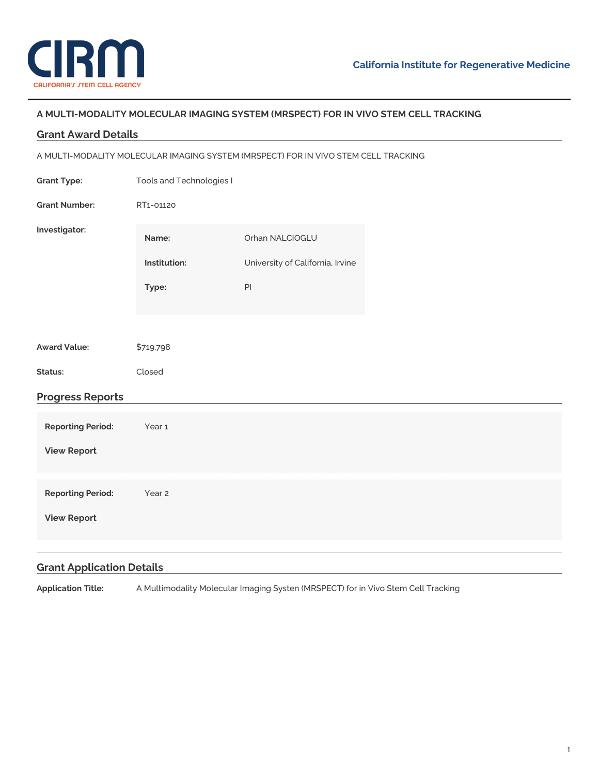

## **A MULTI-MODALITY MOLECULAR IMAGING SYSTEM (MRSPECT) FOR IN VIVO STEM CELL TRACKING**

## **Reporting Period:** Year 1 **View [Report](https://www.cirm.ca.gov/our-progress/awards/multi-modality-molecular-imaging-system-mrspect-vivo-stem-cell-tracking#) Reporting Period:** Year 2 **View [Report](https://www.cirm.ca.gov/our-progress/awards/multi-modality-molecular-imaging-system-mrspect-vivo-stem-cell-tracking#) Grant Award Details** A MULTI-MODALITY MOLECULAR IMAGING SYSTEM (MRSPECT) FOR IN VIVO STEM CELL TRACKING **Grant Type:** Tools and [Technologies](https://www.cirm.ca.gov/our-funding/research-rfas/tools-and-technologies-i) I **Grant Number:** RT1-01120 **Investigator: Name:** Orhan [NALCIOGLU](https://www.cirm.ca.gov/our-progress/people/orhan-nalcioglu) **Institution:** [University](https://www.cirm.ca.gov/our-progress/institutions/university-california-irvine) of California, Irvine Type: PI **Award Value:** \$719,798 **Status:** Closed **Progress Reports Grant Application Details**

**Application Title:** A Multimodality Molecular Imaging Systen (MRSPECT) for in Vivo Stem Cell Tracking